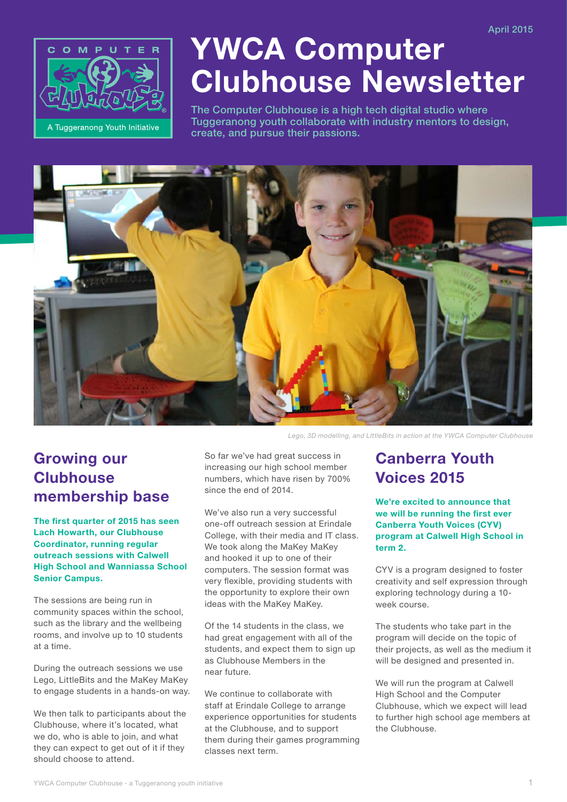

# YWCA Computer Clubhouse Newsletter

The Computer Clubhouse is a high tech digital studio where Tuggeranong youth collaborate with industry mentors to design, create, and pursue their passions.



Growing our **Clubhouse** membership base

The first quarter of 2015 has seen Lach Howarth, our Clubhouse Coordinator, running regular outreach sessions with Calwell High School and Wanniassa School Senior Campus.

The sessions are being run in community spaces within the school, such as the library and the wellbeing rooms, and involve up to 10 students at a time.

During the outreach sessions we use Lego, LittleBits and the MaKey MaKey to engage students in a hands-on way.

We then talk to participants about the Clubhouse, where it's located, what we do, who is able to join, and what they can expect to get out of it if they should choose to attend.

So far we've had great success in increasing our high school member numbers, which have risen by 700% since the end of 2014.

We've also run a very successful one-off outreach session at Erindale College, with their media and IT class. We took along the MaKey MaKey and hooked it up to one of their computers. The session format was very flexible, providing students with the opportunity to explore their own ideas with the MaKey MaKey.

Of the 14 students in the class, we had great engagement with all of the students, and expect them to sign up as Clubhouse Members in the near future.

We continue to collaborate with staff at Erindale College to arrange experience opportunities for students at the Clubhouse, and to support them during their games programming classes next term.

## Canberra Youth Voices 2015

We're excited to announce that we will be running the first ever Canberra Youth Voices (CYV) program at Calwell High School in term 2.

CYV is a program designed to foster creativity and self expression through exploring technology during a 10 week course.

The students who take part in the program will decide on the topic of their projects, as well as the medium it will be designed and presented in.

We will run the program at Calwell High School and the Computer Clubhouse, which we expect will lead to further high school age members at the Clubhouse.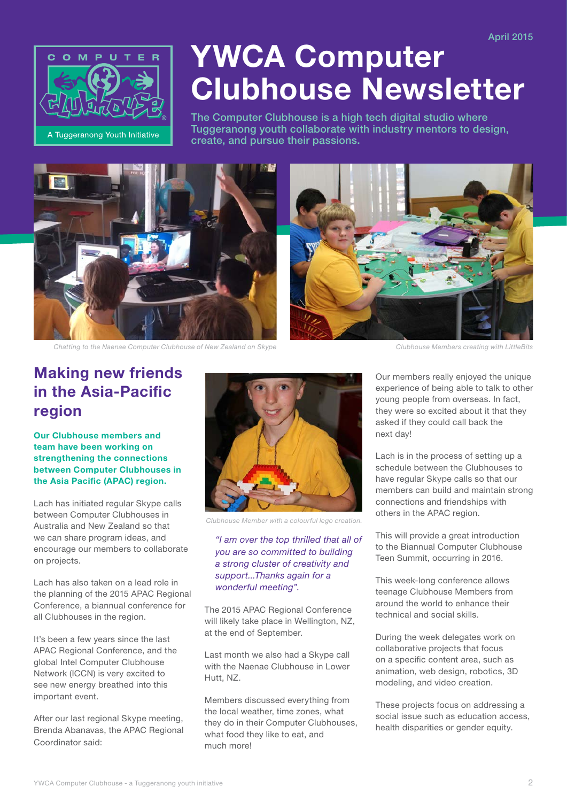

# YWCA Computer Clubhouse Newsletter

The Computer Clubhouse is a high tech digital studio where Tuggeranong youth collaborate with industry mentors to design, create, and pursue their passions.





*Chatting to the Naenae Computer Clubhouse of New Zealand on Skype Clubhouse Members creating with LittleBits*

## Making new friends in the Asia-Pacific region

Our Clubhouse members and team have been working on strengthening the connections between Computer Clubhouses in the Asia Pacific (APAC) region.

Lach has initiated regular Skype calls between Computer Clubhouses in Australia and New Zealand so that we can share program ideas, and encourage our members to collaborate on projects.

Lach has also taken on a lead role in the planning of the 2015 APAC Regional Conference, a biannual conference for all Clubhouses in the region.

It's been a few years since the last APAC Regional Conference, and the global Intel Computer Clubhouse Network (ICCN) is very excited to see new energy breathed into this important event.

After our last regional Skype meeting, Brenda Abanavas, the APAC Regional Coordinator said:



*Clubhouse Member with a colourful lego creation.*

#### *"I am over the top thrilled that all of you are so committed to building a strong cluster of creativity and support...Thanks again for a wonderful meeting".*

The 2015 APAC Regional Conference will likely take place in Wellington, NZ. at the end of September.

Last month we also had a Skype call with the Naenae Clubhouse in Lower Hutt, NZ.

Members discussed everything from the local weather, time zones, what they do in their Computer Clubhouses, what food they like to eat, and much more!

Our members really enjoyed the unique experience of being able to talk to other young people from overseas. In fact, they were so excited about it that they asked if they could call back the next day!

Lach is in the process of setting up a schedule between the Clubhouses to have regular Skype calls so that our members can build and maintain strong connections and friendships with others in the APAC region.

This will provide a great introduction to the Biannual Computer Clubhouse Teen Summit, occurring in 2016.

This week-long conference allows teenage Clubhouse Members from around the world to enhance their technical and social skills.

During the week delegates work on collaborative projects that focus on a specific content area, such as animation, web design, robotics, 3D modeling, and video creation.

These projects focus on addressing a social issue such as education access, health disparities or gender equity.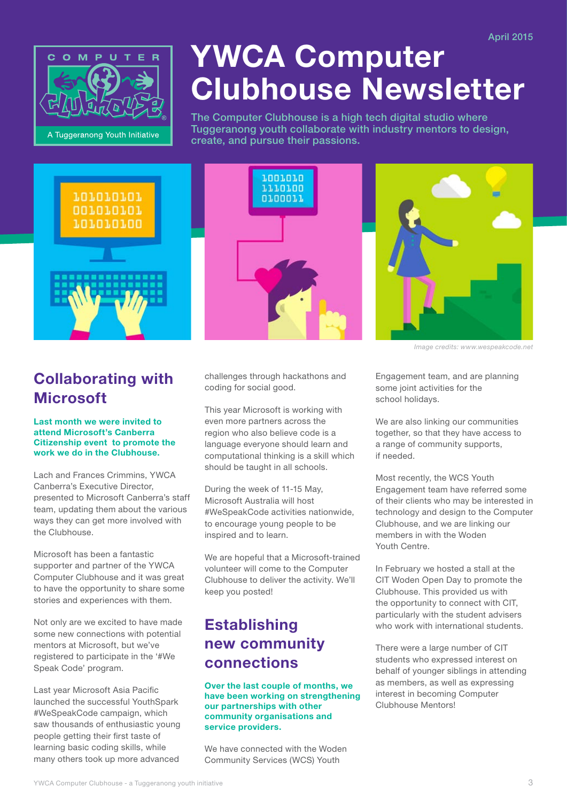

# YWCA Computer Clubhouse Newsletter

The Computer Clubhouse is a high tech digital studio where Tuggeranong youth collaborate with industry mentors to design, create, and pursue their passions.



## Collaborating with **Microsoft**

#### Last month we were invited to attend Microsoft's Canberra Citizenship event to promote the work we do in the Clubhouse.

Lach and Frances Crimmins, YWCA Canberra's Executive Director, presented to Microsoft Canberra's staff team, updating them about the various ways they can get more involved with the Clubhouse.

Microsoft has been a fantastic supporter and partner of the YWCA Computer Clubhouse and it was great to have the opportunity to share some stories and experiences with them.

Not only are we excited to have made some new connections with potential mentors at Microsoft, but we've registered to participate in the '#We Speak Code' program.

Last year Microsoft Asia Pacific launched the successful YouthSpark #WeSpeakCode campaign, which saw thousands of enthusiastic young people getting their first taste of learning basic coding skills, while many others took up more advanced





*Image credits: www.wespeakcode.net*

challenges through hackathons and coding for social good.

This year Microsoft is working with even more partners across the region who also believe code is a language everyone should learn and computational thinking is a skill which should be taught in all schools.

During the week of 11-15 May, Microsoft Australia will host #WeSpeakCode activities nationwide, to encourage young people to be inspired and to learn.

We are hopeful that a Microsoft-trained volunteer will come to the Computer Clubhouse to deliver the activity. We'll keep you posted!

## **Establishing** new community connections

#### Over the last couple of months, we have been working on strengthening our partnerships with other community organisations and service providers.

We have connected with the Woden Community Services (WCS) Youth

Engagement team, and are planning some joint activities for the school holidays.

We are also linking our communities together, so that they have access to a range of community supports, if needed.

Most recently, the WCS Youth Engagement team have referred some of their clients who may be interested in technology and design to the Computer Clubhouse, and we are linking our members in with the Woden Youth Centre.

In February we hosted a stall at the CIT Woden Open Day to promote the Clubhouse. This provided us with the opportunity to connect with CIT, particularly with the student advisers who work with international students.

There were a large number of CIT students who expressed interest on behalf of younger siblings in attending as members, as well as expressing interest in becoming Computer Clubhouse Mentors!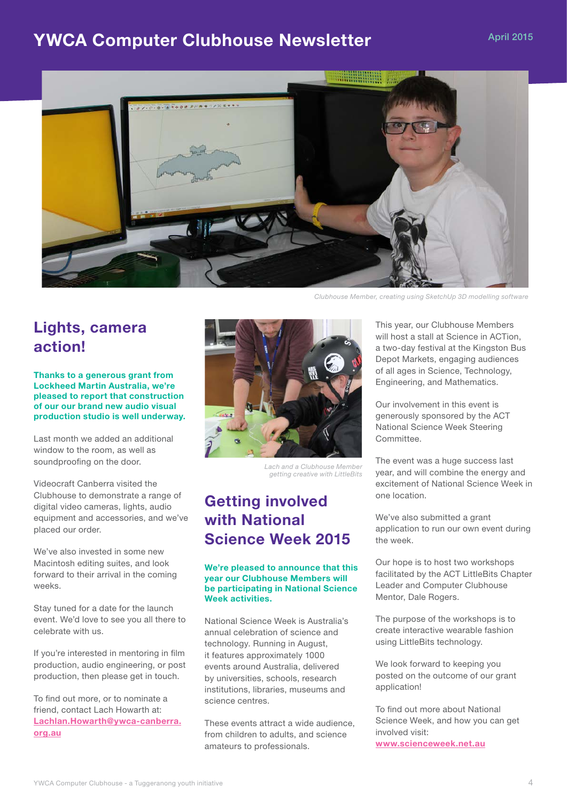## YWCA Computer Clubhouse Newsletter April 2015



Lights, camera action!

Thanks to a generous grant from Lockheed Martin Australia, we're pleased to report that construction of our our brand new audio visual production studio is well underway.

Last month we added an additional window to the room, as well as soundproofing on the door.

Videocraft Canberra visited the Clubhouse to demonstrate a range of digital video cameras, lights, audio equipment and accessories, and we've placed our order.

We've also invested in some new Macintosh editing suites, and look forward to their arrival in the coming weeks.

Stay tuned for a date for the launch event. We'd love to see you all there to celebrate with us.

If you're interested in mentoring in film production, audio engineering, or post production, then please get in touch.

To find out more, or to nominate a friend, contact Lach Howarth at: Lachlan.Howarth@ywca-canberra. org.au



*Lach and a Clubhouse Member getting creative with LittleBits*

## Getting involved with National Science Week 2015

#### We're pleased to announce that this year our Clubhouse Members will be participating in National Science Week activities.

National Science Week is Australia's annual celebration of science and technology. Running in August, it features approximately 1000 events around Australia, delivered by universities, schools, research institutions, libraries, museums and science centres.

These events attract a wide audience, from children to adults, and science amateurs to professionals.

This year, our Clubhouse Members will host a stall at Science in ACTion, a two-day festival at the Kingston Bus Depot Markets, engaging audiences of all ages in Science, Technology, Engineering, and Mathematics.

Our involvement in this event is generously sponsored by the ACT National Science Week Steering Committee.

The event was a huge success last year, and will combine the energy and excitement of National Science Week in one location.

We've also submitted a grant application to run our own event during the week.

Our hope is to host two workshops facilitated by the ACT LittleBits Chapter Leader and Computer Clubhouse Mentor, Dale Rogers.

The purpose of the workshops is to create interactive wearable fashion using LittleBits technology.

We look forward to keeping you posted on the outcome of our grant application!

To find out more about National Science Week, and how you can get involved visit: www.scienceweek.net.au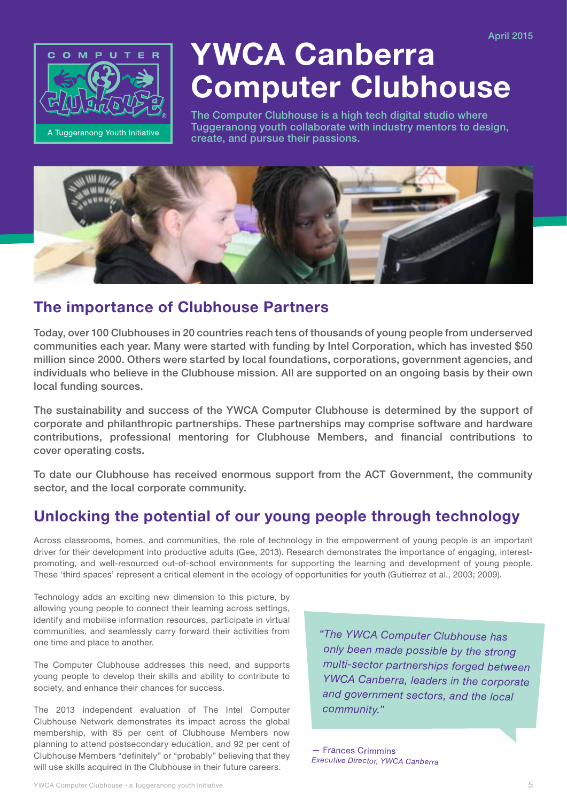

# YWCA Canberra Computer Clubhouse

The Computer Clubhouse is a high tech digital studio where Tuggeranong youth collaborate with industry mentors to design, create, and pursue their passions.



## The importance of Clubhouse Partners

Today, over 100 Clubhouses in 20 countries reach tens of thousands of young people from underserved communities each year. Many were started with funding by Intel Corporation, which has invested \$50 million since 2000. Others were started by local foundations, corporations, government agencies, and individuals who believe in the Clubhouse mission. All are supported on an ongoing basis by their own local funding sources.

The sustainability and success of the YWCA Computer Clubhouse is determined by the support of corporate and philanthropic partnerships. These partnerships may comprise software and hardware contributions, professional mentoring for Clubhouse Members, and financial contributions to cover operating costs.

To date our Clubhouse has received enormous support from the ACT Government, the community sector, and the local corporate community.

## Unlocking the potential of our young people through technology

Across classrooms, homes, and communities, the role of technology in the empowerment of young people is an important driver for their development into productive adults (Gee, 2013). Research demonstrates the importance of engaging, interestpromoting, and well-resourced out-of-school environments for supporting the learning and development of young people. These 'third spaces' represent a critical element in the ecology of opportunities for youth (Gutierrez et al., 2003; 2009).

Technology adds an exciting new dimension to this picture, by allowing young people to connect their learning across settings, identify and mobilise information resources, participate in virtual communities, and seamlessly carry forward their activities from one time and place to another.

The Computer Clubhouse addresses this need, and supports young people to develop their skills and ability to contribute to society, and enhance their chances for success.

The 2013 independent evaluation of The Intel Computer Clubhouse Network demonstrates its impact across the global membership, with 85 per cent of Clubhouse Members now planning to attend postsecondary education, and 92 per cent of Clubhouse Members "definitely" or "probably" believing that they will use skills acquired in the Clubhouse in their future careers.

*"The YWCA Computer Clubhouse has only been made possible by the strong multi-sector partnerships forged between YWCA Canberra, leaders in the corporate and government sectors, and the local community."*

— Frances Crimmins *Executive Director, YWCA Canberra*